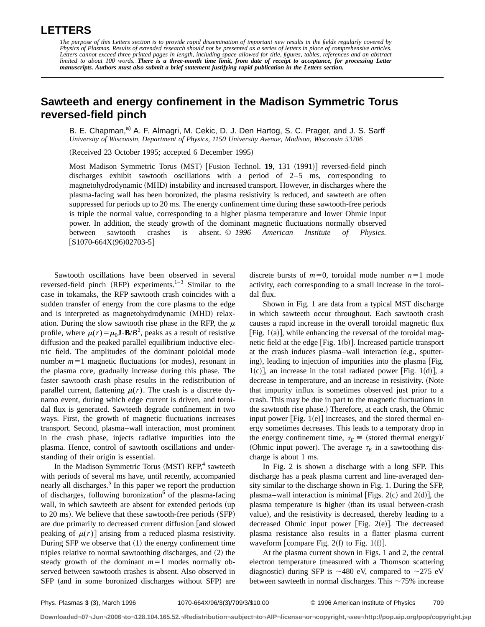## **LETTERS**

## **Sawteeth and energy confinement in the Madison Symmetric Torus reversed-field pinch**

B. E. Chapman,<sup>a)</sup> A. F. Almagri, M. Cekic, D. J. Den Hartog, S. C. Prager, and J. S. Sarff *University of Wisconsin, Department of Physics, 1150 University Avenue, Madison, Wisconsin 53706*

(Received 23 October 1995; accepted 6 December 1995)

Most Madison Symmetric Torus (MST) [Fusion Technol. 19, 131 (1991)] reversed-field pinch discharges exhibit sawtooth oscillations with a period of 2–5 ms, corresponding to magnetohydrodynamic (MHD) instability and increased transport. However, in discharges where the plasma-facing wall has been boronized, the plasma resistivity is reduced, and sawteeth are often suppressed for periods up to 20 ms. The energy confinement time during these sawtooth-free periods is triple the normal value, corresponding to a higher plasma temperature and lower Ohmic input power. In addition, the steady growth of the dominant magnetic fluctuations normally observed between sawtooth crashes is absent. © *1996 American Institute of Physics.*  $[S1070-664X(96)02703-5]$ 

Sawtooth oscillations have been observed in several reversed-field pinch (RFP) experiments.<sup>1–3</sup> Similar to the case in tokamaks, the RFP sawtooth crash coincides with a sudden transfer of energy from the core plasma to the edge and is interpreted as magnetohydrodynamic (MHD) relaxation. During the slow sawtooth rise phase in the RFP, the  $\mu$ profile, where  $\mu(r) = \mu_0 \mathbf{J} \cdot \mathbf{B}/B^2$ , peaks as a result of resistive diffusion and the peaked parallel equilibrium inductive electric field. The amplitudes of the dominant poloidal mode number  $m=1$  magnetic fluctuations (or modes), resonant in the plasma core, gradually increase during this phase. The faster sawtooth crash phase results in the redistribution of parallel current, flattening  $\mu(r)$ . The crash is a discrete dynamo event, during which edge current is driven, and toroidal flux is generated. Sawteeth degrade confinement in two ways. First, the growth of magnetic fluctuations increases transport. Second, plasma–wall interaction, most prominent in the crash phase, injects radiative impurities into the plasma. Hence, control of sawtooth oscillations and understanding of their origin is essential.

In the Madison Symmetric Torus (MST) RFP,<sup>4</sup> sawteeth with periods of several ms have, until recently, accompanied nearly all discharges.<sup>5</sup> In this paper we report the production of discharges, following boronization $\delta$  of the plasma-facing wall, in which sawteeth are absent for extended periods (up to  $20 \text{ ms}$ ). We believe that these sawtooth-free periods  $(SFP)$ are due primarily to decreased current diffusion and slowed peaking of  $\mu(r)$  arising from a reduced plasma resistivity. During SFP we observe that  $(1)$  the energy confinement time triples relative to normal sawtoothing discharges, and  $(2)$  the steady growth of the dominant  $m=1$  modes normally observed between sawtooth crashes is absent. Also observed in SFP (and in some boronized discharges without SFP) are discrete bursts of  $m=0$ , toroidal mode number  $n=1$  mode activity, each corresponding to a small increase in the toroidal flux.

Shown in Fig. 1 are data from a typical MST discharge in which sawteeth occur throughout. Each sawtooth crash causes a rapid increase in the overall toroidal magnetic flux [Fig.  $1(a)$ ], while enhancing the reversal of the toroidal magnetic field at the edge  $[Fig. 1(b)].$  Increased particle transport at the crash induces plasma–wall interaction  $(e.g.,$  sputtering), leading to injection of impurities into the plasma [Fig.  $1(c)$ , an increase in the total radiated power [Fig. 1(d)], a decrease in temperature, and an increase in resistivity. (Note that impurity influx is sometimes observed just prior to a crash. This may be due in part to the magnetic fluctuations in the sawtooth rise phase.) Therefore, at each crash, the Ohmic input power  $[Fig. 1(e)]$  increases, and the stored thermal energy sometimes decreases. This leads to a temporary drop in the energy confinement time,  $\tau_E \equiv$  (stored thermal energy)/ (Ohmic input power). The average  $\tau_E$  in a sawtoothing discharge is about 1 ms.

In Fig. 2 is shown a discharge with a long SFP. This discharge has a peak plasma current and line-averaged density similar to the discharge shown in Fig. 1. During the SFP, plasma–wall interaction is minimal [Figs. 2(c) and 2(d)], the plasma temperature is higher (than its usual between-crash value), and the resistivity is decreased, thereby leading to a decreased Ohmic input power  $|Fig. 2(e)|$ . The decreased plasma resistance also results in a flatter plasma current waveform [compare Fig.  $2(f)$  to Fig. 1(f)].

At the plasma current shown in Figs. 1 and 2, the central electron temperature (measured with a Thomson scattering diagnostic) during SFP is  $\sim$ 480 eV, compared to  $\sim$ 275 eV between sawteeth in normal discharges. This  $\sim$ 75% increase

**Downloaded¬07¬Jun¬2006¬to¬128.104.165.52.¬Redistribution¬subject¬to¬AIP¬license¬or¬copyright,¬see¬http://pop.aip.org/pop/copyright.jsp**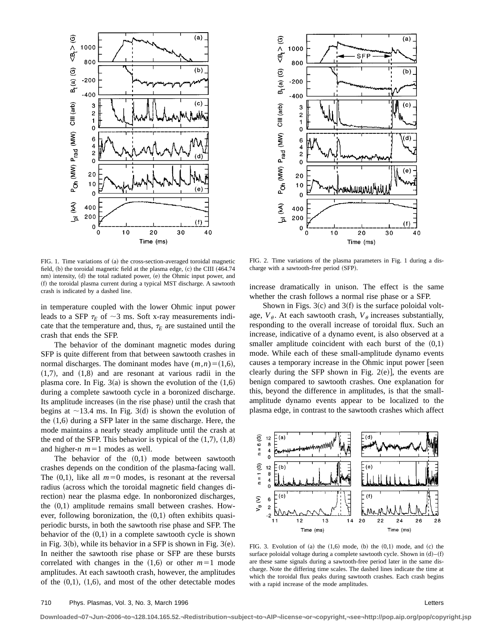

FIG. 1. Time variations of (a) the cross-section-averaged toroidal magnetic field,  $(b)$  the toroidal magnetic field at the plasma edge,  $(c)$  the CIII  $(464.74)$ nm) intensity, (d) the total radiated power, (e) the Ohmic input power, and (f) the toroidal plasma current during a typical MST discharge. A sawtooth crash is indicated by a dashed line.

in temperature coupled with the lower Ohmic input power leads to a SFP  $\tau_E$  of  $\sim$ 3 ms. Soft x-ray measurements indicate that the temperature and, thus,  $\tau_E$  are sustained until the crash that ends the SFP.

The behavior of the dominant magnetic modes during SFP is quite different from that between sawtooth crashes in normal discharges. The dominant modes have  $(m,n)=(1,6)$ ,  $(1,7)$ , and  $(1,8)$  and are resonant at various radii in the plasma core. In Fig.  $3(a)$  is shown the evolution of the  $(1,6)$ during a complete sawtooth cycle in a boronized discharge. Its amplitude increases (in the rise phase) until the crash that begins at  $\sim$ 13.4 ms. In Fig. 3(d) is shown the evolution of the  $(1,6)$  during a SFP later in the same discharge. Here, the mode maintains a nearly steady amplitude until the crash at the end of the SFP. This behavior is typical of the  $(1,7)$ ,  $(1,8)$ and higher- $n$   $m=1$  modes as well.

The behavior of the  $(0,1)$  mode between sawtooth crashes depends on the condition of the plasma-facing wall. The  $(0,1)$ , like all  $m=0$  modes, is resonant at the reversal radius (across which the toroidal magnetic field changes direction) near the plasma edge. In nonboronized discharges, the  $(0,1)$  amplitude remains small between crashes. However, following boronization, the  $(0,1)$  often exhibits quasiperiodic bursts, in both the sawtooth rise phase and SFP. The behavior of the  $(0,1)$  in a complete sawtooth cycle is shown in Fig.  $3(b)$ , while its behavior in a SFP is shown in Fig.  $3(e)$ . In neither the sawtooth rise phase or SFP are these bursts correlated with changes in the  $(1,6)$  or other  $m=1$  mode amplitudes. At each sawtooth crash, however, the amplitudes of the  $(0,1)$ ,  $(1,6)$ , and most of the other detectable modes



FIG. 2. Time variations of the plasma parameters in Fig. 1 during a discharge with a sawtooth-free period (SFP).

increase dramatically in unison. The effect is the same whether the crash follows a normal rise phase or a SFP.

Shown in Figs.  $3(c)$  and  $3(f)$  is the surface poloidal voltage,  $V_{\theta}$ . At each sawtooth crash,  $V_{\theta}$  increases substantially, responding to the overall increase of toroidal flux. Such an increase, indicative of a dynamo event, is also observed at a smaller amplitude coincident with each burst of the  $(0,1)$ mode. While each of these small-amplitude dynamo events causes a temporary increase in the Ohmic input power  $\lceil$  seen clearly during the SFP shown in Fig.  $2(e)$ , the events are benign compared to sawtooth crashes. One explanation for this, beyond the difference in amplitudes, is that the smallamplitude dynamo events appear to be localized to the plasma edge, in contrast to the sawtooth crashes which affect



FIG. 3. Evolution of  $(a)$  the  $(1,6)$  mode,  $(b)$  the  $(0,1)$  mode, and  $(c)$  the surface poloidal voltage during a complete sawtooth cycle. Shown in  $(d)$ – $(f)$ are these same signals during a sawtooth-free period later in the same discharge. Note the differing time scales. The dashed lines indicate the time at which the toroidal flux peaks during sawtooth crashes. Each crash begins with a rapid increase of the mode amplitudes.

**Downloaded¬07¬Jun¬2006¬to¬128.104.165.52.¬Redistribution¬subject¬to¬AIP¬license¬or¬copyright,¬see¬http://pop.aip.org/pop/copyright.jsp**